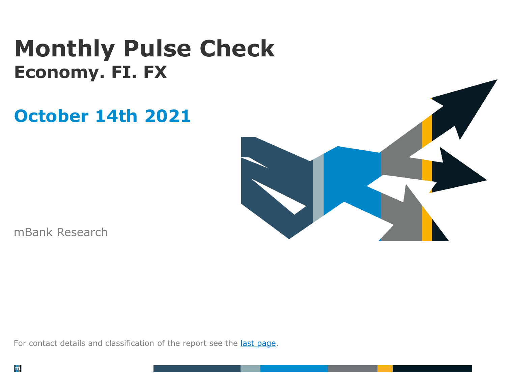# **Monthly Pulse Check Economy. FI. FX**

# **October 14th 2021**



mBank Research

For contact details and classification of the report see the last [page.](#page-6-0)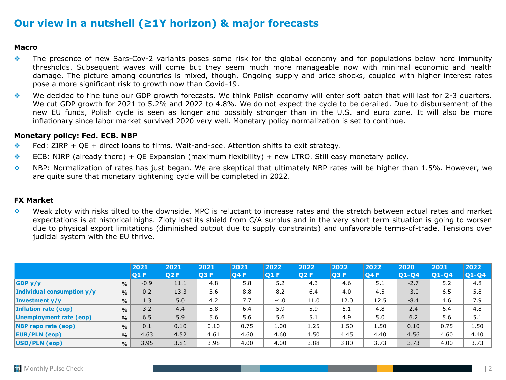# **Our view in a nutshell (≥1Y horizon) & major forecasts**

### **Macro**

- ❖ The presence of new Sars-Cov-2 variants poses some risk for the global economy and for populations below herd immunity thresholds. Subsequent waves will come but they seem much more manageable now with minimal economic and health damage. The picture among countries is mixed, though. Ongoing supply and price shocks, coupled with higher interest rates pose a more significant risk to growth now than Covid-19.
- ❖ We decided to fine tune our GDP growth forecasts. We think Polish economy will enter soft patch that will last for 2-3 quarters. We cut GDP growth for 2021 to 5.2% and 2022 to 4.8%. We do not expect the cycle to be derailed. Due to disbursement of the new EU funds, Polish cycle is seen as longer and possibly stronger than in the U.S. and euro zone. It will also be more inflationary since labor market survived 2020 very well. Monetary policy normalization is set to continue.

### **Monetary policy: Fed. ECB. NBP**

- ❖ Fed: ZIRP + QE + direct loans to firms. Wait-and-see. Attention shifts to exit strategy.
- $\div$  ECB: NIRP (already there) + QE Expansion (maximum flexibility) + new LTRO. Still easy monetary policy.
- ❖ NBP: Normalization of rates has just began. We are skeptical that ultimately NBP rates will be higher than 1.5%. However, we are quite sure that monetary tightening cycle will be completed in 2022.

### **FX Market**

❖ Weak zloty with risks tilted to the downside. MPC is reluctant to increase rates and the stretch between actual rates and market expectations is at historical highs. Zloty lost its shield from C/A surplus and in the very short term situation is going to worsen due to physical export limitations (diminished output due to supply constraints) and unfavorable terms-of-trade. Tensions over judicial system with the EU thrive.

|                            |               | 2021       | 2021 | 2021 | 2021       | 2022   | 2022 | 2022 | 2022 | 2020   | 2021  | 2022    |
|----------------------------|---------------|------------|------|------|------------|--------|------|------|------|--------|-------|---------|
|                            |               | <b>O1F</b> | 02 F | 03 F | <b>O4F</b> | 01 F   | 02 F | Q3 F | Q4 F | 01-04  | Q1-Q4 | $Q1-Q4$ |
| GDPy/y                     | $\%$          | $-0.9$     | 11.1 | 4.8  | 5.8        | 5.2    | 4.3  | 4.6  | 5.1  | $-2.7$ | 5.2   | 4.8     |
| Individual consumption y/y | $\%$          | 0.2        | 13.3 | 3.6  | 8.8        | 8.2    | 6.4  | 4.0  | 4.5  | $-3.0$ | 6.5   | 5.8     |
| <b>Investment y/y</b>      | $\%$          | 1.3        | 5.0  | 4.2  | 7.7        | $-4.0$ | 11.0 | 12.0 | 12.5 | $-8.4$ | 4.6   | 7.9     |
| Inflation rate (eop)       | $\%$          | 3.2        | 4.4  | 5.8  | 6.4        | 5.9    | 5.9  | 5.1  | 4.8  | 2.4    | 6.4   | 4.8     |
| Unemployment rate (eop)    | $\%$          | 6.5        | 5.9  | 5.6  | 5.6        | 5.6    | 5.1  | 4.9  | 5.0  | 6.2    | 5.6   | 5.1     |
| <b>NBP</b> repo rate (eop) | $\%$          | 0.1        | 0.10 | 0.10 | 0.75       | 1.00   | 1.25 | 1.50 | 1.50 | 0.10   | 0.75  | 1.50    |
| <b>EUR/PLN (eop)</b>       | $\%$          | 4.63       | 4.52 | 4.61 | 4.60       | 4.60   | 4.50 | 4.45 | 4.40 | 4.56   | 4.60  | 4.40    |
| USD/PLN (eop)              | $\frac{0}{0}$ | 3.95       | 3.81 | 3.98 | 4.00       | 4.00   | 3.88 | 3.80 | 3.73 | 3.73   | 4.00  | 3.73    |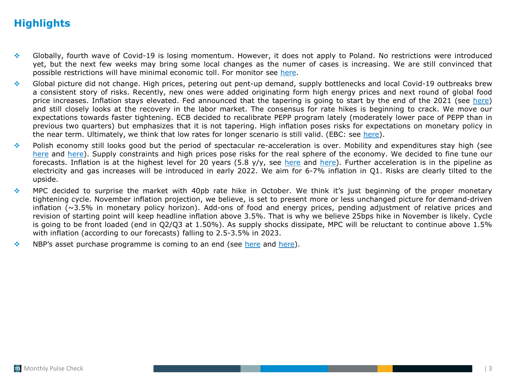# **Highlights**

- ❖ Globally, fourth wave of Covid-19 is losing momentum. However, it does not apply to Poland. No restrictions were introduced yet, but the next few weeks may bring some local changes as the numer of cases is increasing. We are still convinced that possible restrictions will have minimal economic toll. For monitor see [here](#page-12-0).
- ❖ Global picture did not change. High prices, petering out pent-up demand, supply bottlenecks and local Covid-19 outbreaks brew a consistent story of risks. Recently, new ones were added originating form high energy prices and next round of global food price increases. Inflation stays elevated. Fed announced that the tapering is going to start by the end of the 2021 (see [here\)](#page-3-0) and still closely looks at the recovery in the labor market. The consensus for rate hikes is beginning to crack. We move our expectations towards faster tightening. ECB decided to recalibrate PEPP program lately (moderately lower pace of PEPP than in previous two quarters) but emphasizes that it is not tapering. High inflation poses risks for expectations on monetary policy in the near term. Ultimately, we think that low rates for longer scenario is still valid. (EBC: see [here\)](#page-4-0).
- ❖ Polish economy still looks good but the period of spectacular re-acceleration is over. Mobility and expenditures stay high (see [here](#page-8-0) and [here](#page-11-0)). Supply constraints and high prices pose risks for the real sphere of the economy. We decided to fine tune our forecasts. Inflation is at the highest level for 20 years  $(5.8 \text{ y/y})$ , see [here](#page-13-0) and [here\)](#page-14-0). Further acceleration is in the pipeline as electricity and gas increases will be introduced in early 2022. We aim for 6-7% inflation in Q1. Risks are clearly tilted to the upside.
- ❖ MPC decided to surprise the market with 40pb rate hike in October. We think it's just beginning of the proper monetary tightening cycle. November inflation projection, we believe, is set to present more or less unchanged picture for demand-driven inflation (~3.5% in monetary policy horizon). Add-ons of food and energy prices, pending adjustment of relative prices and revision of starting point will keep headline inflation above 3.5%. That is why we believe 25bps hike in November is likely. Cycle is going to be front loaded (end in Q2/Q3 at 1.50%). As supply shocks dissipate, MPC will be reluctant to continue above 1.5% with inflation (according to our forecasts) falling to 2.5-3.5% in 2023.
- **♦ NBP's asset purchase programme is coming to an end (see [here](#page-18-0) and [here\)](#page-19-0).**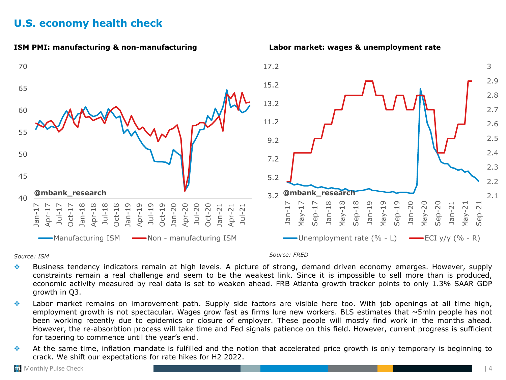# <span id="page-3-0"></span>**U.S. economy health check**



*Source: ISM Source: FRED*

- ❖ Business tendency indicators remain at high levels. A picture of strong, demand driven economy emerges. However, supply constraints remain a real challenge and seem to be the weakest link. Since it is impossible to sell more than is produced, economic activity measured by real data is set to weaken ahead. FRB Atlanta growth tracker points to only 1.3% SAAR GDP growth in Q3.
- ❖ Labor market remains on improvement path. Supply side factors are visible here too. With job openings at all time high, employment growth is not spectacular. Wages grow fast as firms lure new workers. BLS estimates that  $\sim$ 5mln people has not been working recently due to epidemics or closure of employer. These people will mostly find work in the months ahead. However, the re-absorbtion process will take time and Fed signals patience on this field. However, current progress is sufficient for tapering to commence until the year's end.
- ❖ At the same time, inflation mandate is fulfilled and the notion that accelerated price growth is only temporary is beginning to crack. We shift our expectations for rate hikes for H2 2022.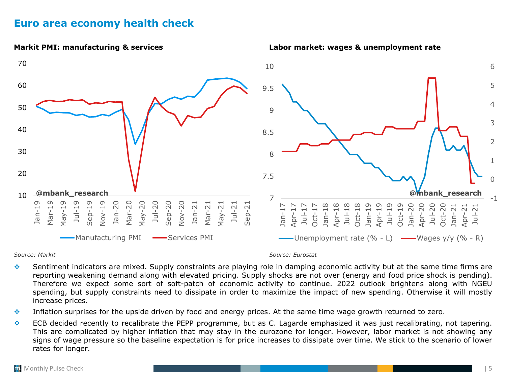### <span id="page-4-0"></span>**Euro area economy health check**



### *Source: Markit Source: Eurostat*

- ❖ Sentiment indicators are mixed. Supply constraints are playing role in damping economic activity but at the same time firms are reporting weakening demand along with elevated pricing. Supply shocks are not over (energy and food price shock is pending). Therefore we expect some sort of soft-patch of economic activity to continue. 2022 outlook brightens along with NGEU spending, but supply constraints need to dissipate in order to maximize the impact of new spending. Otherwise it will mostly increase prices.
- ❖ Inflation surprises for the upside driven by food and energy prices. At the same time wage growth returned to zero.
- ❖ ECB decided recently to recalibrate the PEPP programme, but as C. Lagarde emphasized it was just recalibrating, not tapering. This are complicated by higher inflation that may stay in the eurozone for longer. However, labor market is not showing any signs of wage pressure so the baseline expectation is for price increases to dissipate over time. We stick to the scenario of lower rates for longer.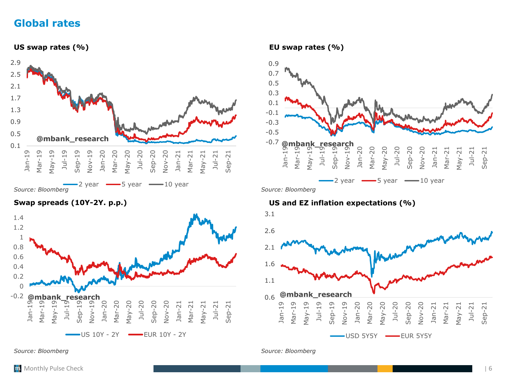### **Global rates**





*Source: Bloomberg Source: Bloomberg*



### **Swap spreads (10Y-2Y. p.p.) US and EZ inflation expectations (%)**

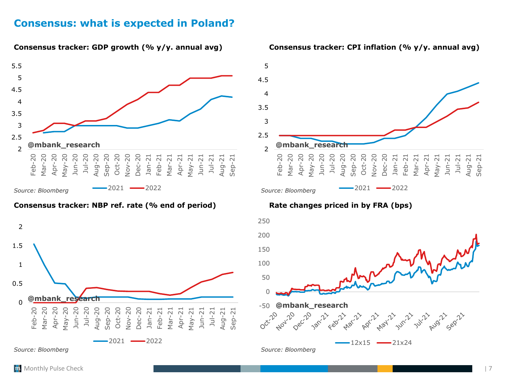### <span id="page-6-0"></span>**Consensus: what is expected in Poland?**



### **Consensus tracker: NBP ref. rate (% end of period) Rate changes priced in by FRA (bps)**







**Consensus tracker: GDP growth (% y/y. annual avg) Consensus tracker: CPI inflation (% y/y. annual avg)**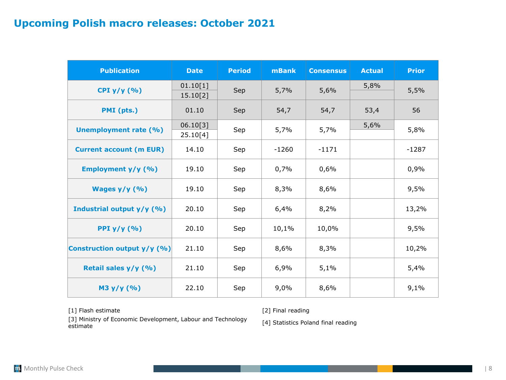# **Upcoming Polish macro releases: October 2021**

| <b>Publication</b>             | <b>Date</b>          | <b>Period</b> | mBank   | <b>Consensus</b> | <b>Actual</b> | <b>Prior</b> |
|--------------------------------|----------------------|---------------|---------|------------------|---------------|--------------|
| CPI $y/y$ (%)                  | 01.10[1]<br>15.10[2] | Sep           | 5,7%    | 5,6%             | 5,8%          | 5,5%         |
| PMI (pts.)                     | 01.10                | Sep           | 54,7    | 54,7             | 53,4          | 56           |
| <b>Unemployment rate (%)</b>   | 06.10[3]<br>25.10[4] | Sep           | 5,7%    | 5,7%             | 5,6%          | 5,8%         |
| <b>Current account (m EUR)</b> | 14.10                | Sep           | $-1260$ | $-1171$          |               | $-1287$      |
| Employment y/y (%)             | 19.10                | Sep           | 0,7%    | 0,6%             |               | 0,9%         |
| Wages $y/y$ (%)                | 19.10                | Sep           | 8,3%    | 8,6%             |               | 9,5%         |
| Industrial output y/y (%)      | 20.10                | Sep           | 6,4%    | 8,2%             |               | 13,2%        |
| PPI $y/y$ (%)                  | 20.10                | Sep           | 10,1%   | 10,0%            |               | 9,5%         |
| Construction output y/y (%)    | 21.10                | Sep           | 8,6%    | 8,3%             |               | 10,2%        |
| Retail sales y/y (%)           | 21.10                | Sep           | 6,9%    | 5,1%             |               | 5,4%         |
| M3 y/y (%)                     | 22.10                | Sep           | 9,0%    | 8,6%             |               | 9,1%         |

[1] Flash estimate [2] Final reading

[3] Ministry of Economic Development, Labour and Technology [3] Ministry of Economic Development, Labour and Technology [4] Statistics Poland final reading estimate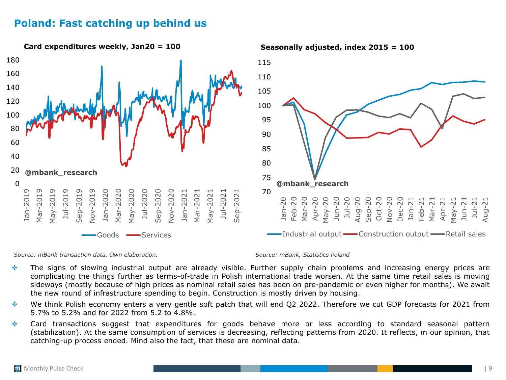# <span id="page-8-0"></span>**Poland: Fast catching up behind us**



*Source: mBank transaction data. Own elaboration. Source: mBank, Statistics Poland*

- ❖ The signs of slowing industrial output are already visible. Further supply chain problems and increasing energy prices are complicating the things further as terms-of-trade in Polish international trade worsen. At the same time retail sales is moving sideways (mostly because of high prices as nominal retail sales has been on pre-pandemic or even higher for months). We await the new round of infrastructure spending to begin. Construction is mostly driven by housing.
- ❖ We think Polish economy enters a very gentle soft patch that will end Q2 2022. Therefore we cut GDP forecasts for 2021 from 5.7% to 5.2% and for 2022 from 5.2 to 4.8%.
- ❖ Card transactions suggest that expenditures for goods behave more or less according to standard seasonal pattern (stabilization). At the same consumption of services is decreasing, reflecting patterns from 2020. It reflects, in our opinion, that catching-up process ended. Mind also the fact, that these are nominal data.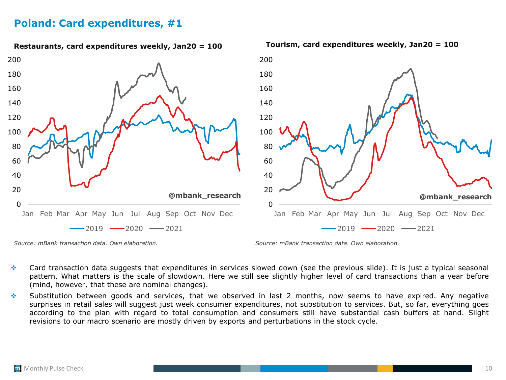# **Poland: Card expenditures, #1**



*Source: mBank transaction data. Own elaboration. Source: mBank transaction data. Own elaboration.*

- ❖ Card transaction data suggests that expenditures in services slowed down (see the previous slide). It is just a typical seasonal pattern. What matters is the scale of slowdown. Here we still see slightly higher level of card transactions than a year before (mind, however, that these are nominal changes).
- ❖ Substitution between goods and services, that we observed in last 2 months, now seems to have expired. Any negative surprises in retail sales will suggest just week consumer expenditures, not substitution to services. But, so far, everything goes according to the plan with regard to total consumption and consumers still have substantial cash buffers at hand. Slight revisions to our macro scenario are mostly driven by exports and perturbations in the stock cycle.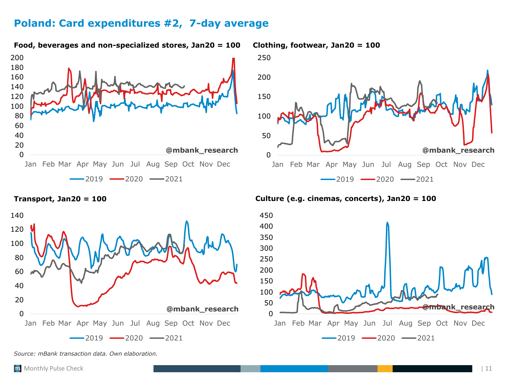# **Poland: Card expenditures #2, 7-day average**



**Food, beverages and non-specialized stores, Jan20 = 100 Clothing, footwear, Jan20 = 100**





**Transport, Jan20 = 100 Culture (e.g. cinemas, concerts), Jan20 = 100**



*Source: mBank transaction data. Own elaboration.*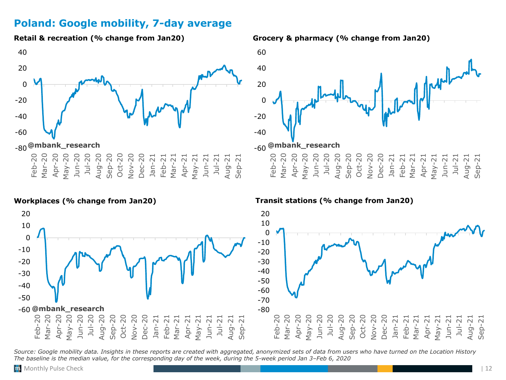# <span id="page-11-0"></span>**Poland: Google mobility, 7-day average**



**Retail & recreation (% change from Jan20) Grocery & pharmacy (% change from Jan20)**



**Workplaces (% change from Jan20) Transit stations (% change from Jan20)**



*Source: Google mobility data. Insights in these reports are created with aggregated, anonymized sets of data from users who have turned on the Location History The baseline is the median value, for the corresponding day of the week, during the 5-week period Jan 3–Feb 6, 2020*

-50 -40 -30 -20 -10  $\Omega$ 10 20

Feb-20

Mar-20<br>Apr-20 Apr-2 May-20 Jun-20 Jul-20 Aug-20 Sep-20 Oct-20 Nov-20 Dec-20 Jan-21 Feb-21 Mar-21 Apr-21 May-21 Jun-21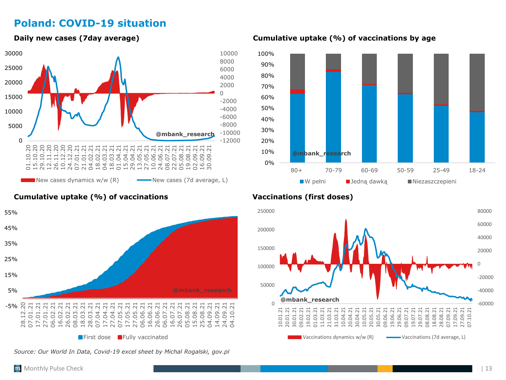# <span id="page-12-0"></span>**Poland: COVID-19 situation**



### **Cumulative uptake (%) of vaccinations Vaccinations (first doses)**



*Source: Our World In Data, Covid-19 excel sheet by Michal Rogalski, gov.pl*

**Daily new cases (7day average) Cumulative uptake (%) of vaccinations by age**



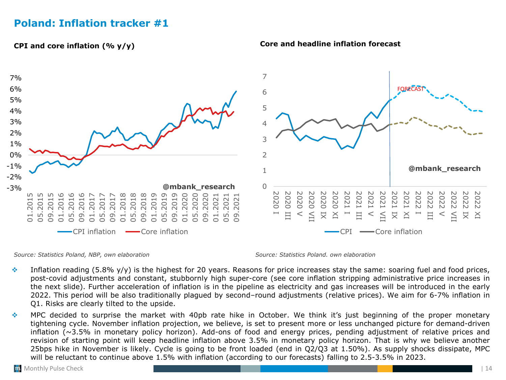# <span id="page-13-0"></span>**Poland: Inflation tracker #1**

### **CPI and core inflation (% y/y)**



### **Core and headline inflation forecast**

*Source: Statistics Poland, NBP, own elaboration Source: Statistics Poland. own elaboration*

- Inflation reading (5.8% y/y) is the highest for 20 years. Reasons for price increases stay the same: soaring fuel and food prices, post-covid adjustments and constant, stubbornly high super-core (see core inflation stripping administrative price increases in the next slide). Further acceleration of inflation is in the pipeline as electricity and gas increases will be introduced in the early 2022. This period will be also traditionally plagued by second–round adjustments (relative prices). We aim for 6-7% inflation in Q1. Risks are clearly tilted to the upside.
- ❖ MPC decided to surprise the market with 40pb rate hike in October. We think it's just beginning of the proper monetary tightening cycle. November inflation projection, we believe, is set to present more or less unchanged picture for demand-driven inflation (~3.5% in monetary policy horizon). Add-ons of food and energy prices, pending adjustment of relative prices and revision of starting point will keep headline inflation above 3.5% in monetary policy horizon. That is why we believe another 25bps hike in November is likely. Cycle is going to be front loaded (end in Q2/Q3 at 1.50%). As supply shocks dissipate, MPC will be reluctant to continue above 1.5% with inflation (according to our forecasts) falling to 2.5-3.5% in 2023.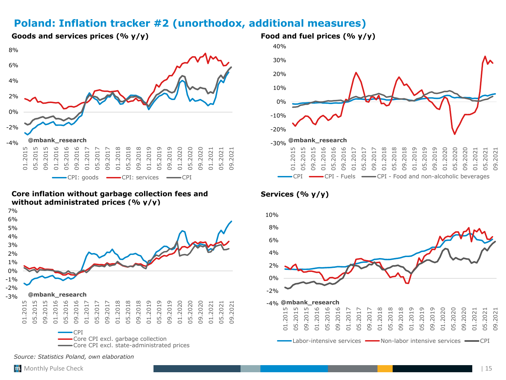# <span id="page-14-0"></span>**Poland: Inflation tracker #2 (unorthodox, additional measures)**



**Core inflation without garbage collection fees and without administrated prices (% y/y)**



*Source: Statistics Poland, own elaboration*



### **Services (% y/y)**



### **Goods and services prices (% y/y) Food and fuel prices (% y/y)**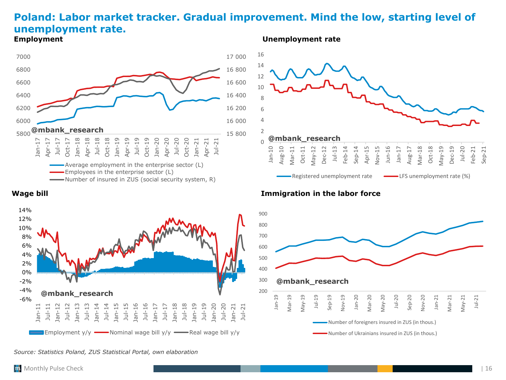### **Poland: Labor market tracker. Gradual improvement. Mind the low, starting level of unemployment rate. Employment Unemployment rate**







### **Wage bill Immigration in the labor force**



*Source: Statistics Poland, ZUS Statistical Portal, own elaboration*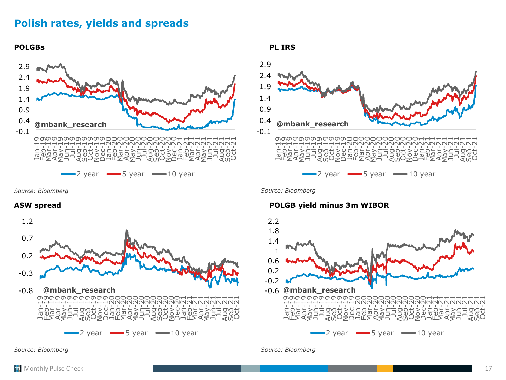# **Polish rates, yields and spreads**

**POLGBs PL IRS**





*Source: Bloomberg Source: Bloomberg*



### **ASW spread POLGB yield minus 3m WIBOR**



*Source: Bloomberg Source: Bloomberg*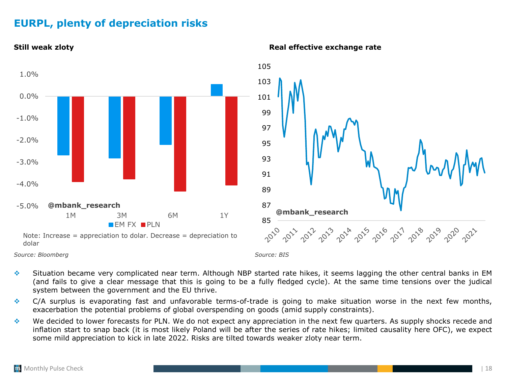# **EURPL, plenty of depreciation risks**



### **Still weak zloty Real effective exchange rate**

❖ Situation became very complicated near term. Although NBP started rate hikes, it seems lagging the other central banks in EM (and fails to give a clear message that this is going to be a fully fledged cycle). At the same time tensions over the judical system between the government and the EU thrive.

- $\bullet$  C/A surplus is evaporating fast and unfavorable terms-of-trade is going to make situation worse in the next few months, exacerbation the potential problems of global overspending on goods (amid supply constraints).
- ❖ We decided to lower forecasts for PLN. We do not expect any appreciation in the next few quarters. As supply shocks recede and inflation start to snap back (it is most likely Poland will be after the series of rate hikes; limited causality here OFC), we expect some mild appreciation to kick in late 2022. Risks are tilted towards weaker zloty near term.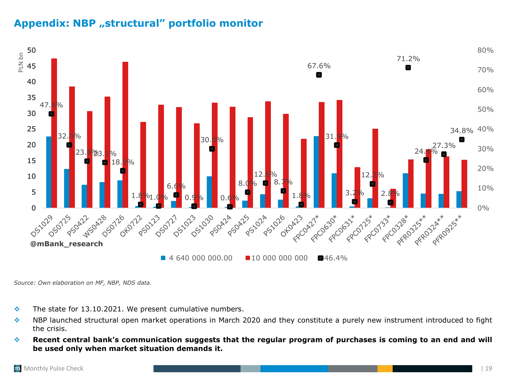# <span id="page-18-0"></span>Appendix: NBP "structural" portfolio monitor



*Source: Own elaboration on MF, NBP, NDS data.*

- $\cdot$  The state for 13.10.2021. We present cumulative numbers.
- ❖ NBP launched structural open market operations in March 2020 and they constitute a purely new instrument introduced to fight the crisis.
- \* Recent central bank's communication suggests that the regular program of purchases is coming to an end and will **be used only when market situation demands it.**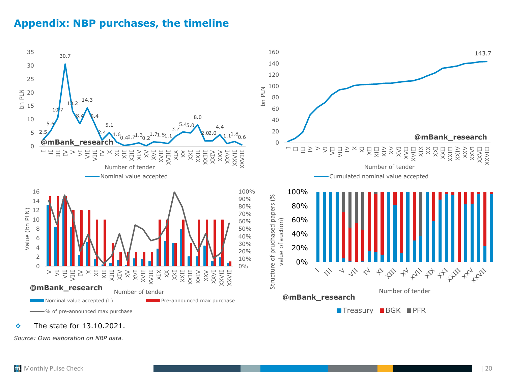# <span id="page-19-0"></span>**Appendix: NBP purchases, the timeline**



### ❖ The state for 13.10.2021.

*Source: Own elaboration on NBP data.*